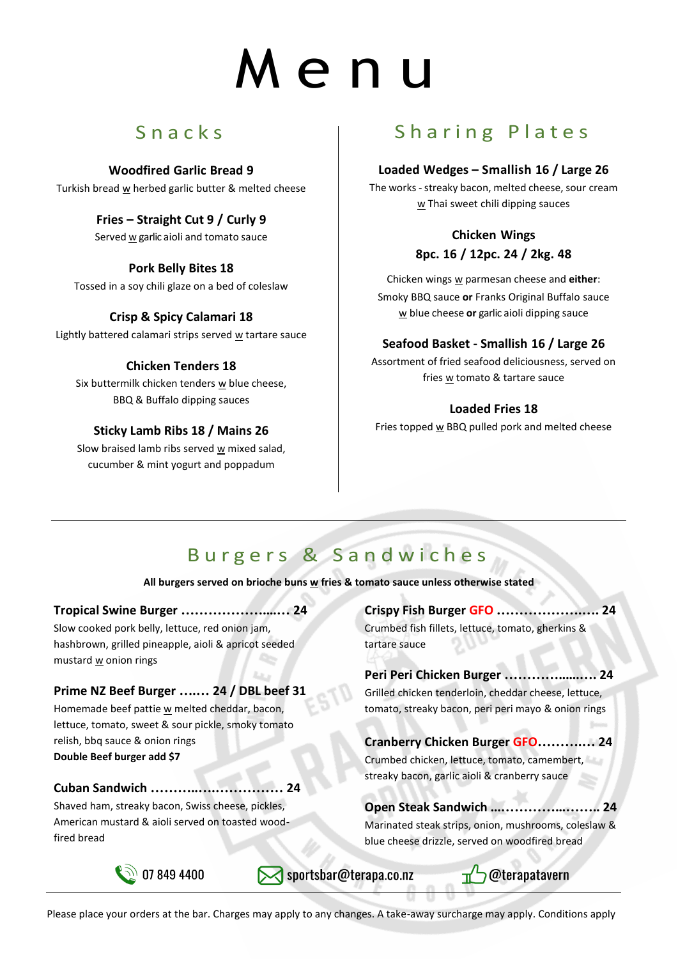# e n u

## S n a c k s

## **Woodfired Garlic Bread 9**

Turkish bread w herbed garlic butter & melted cheese

**Fries – Straight Cut 9 / Curly 9** Served w garlic aioli and tomato sauce

## **Pork Belly Bites 18**

Tossed in a soy chili glaze on a bed of coleslaw

## **Crisp & Spicy Calamari 18**

Lightly battered calamari strips served  $w$  tartare sauce

## **Chicken Tenders 18**

Six buttermilk chicken tenders w blue cheese, BBQ & Buffalo dipping sauces

## **Sticky Lamb Ribs 18 / Mains 26**

Slow braised lamb ribs served  $w$  mixed salad, cucumber & mint yogurt and poppadum

## Sharing Plates

## **Loaded Wedges – Smallish 16 / Large 26**

The works - streaky bacon, melted cheese, sour cream w Thai sweet chili dipping sauces

## **Chicken Wings 8pc. 16 / 12pc. 24 / 2kg. 48**

Chicken wings w parmesan cheese and **either**: Smoky BBQ sauce **or** Franks Original Buffalo sauce w blue cheese **or** garlic aioli dipping sauce

## **Seafood Basket - Smallish 16 / Large 26**

Assortment of fried seafood deliciousness, served on fries w tomato & tartare sauce

## **Loaded Fries 18**

Fries topped w BBQ pulled pork and melted cheese

# Burgers & Sandwiches

**All burgers served on brioche buns w fries & tomato sauce unless otherwise stated**

## **Tropical Swine Burger ………………....… 24**

Slow cooked pork belly, lettuce, red onion jam, hashbrown, grilled pineapple, aioli & apricot seeded mustard w onion rings

## **Prime NZ Beef Burger ….… 24 / DBL beef 31**

Homemade beef pattie w melted cheddar, bacon, lettuce, tomato, sweet & sour pickle, smoky tomato relish, bbq sauce & onion rings **Double Beef burger add \$7**

## **Cuban Sandwich ………..….…………… 24**

Shaved ham, streaky bacon, Swiss cheese, pickles, American mustard & aioli served on toasted woodfired bread

**Crispy Fish Burger GFO ……………….…. 24** Crumbed fish fillets, lettuce, tomato, gherkins & tartare sauce

**Peri Peri Chicken Burger …………......…. 24** Grilled chicken tenderloin, cheddar cheese, lettuce, tomato, streaky bacon, peri peri mayo & onion rings

**Cranberry Chicken Burger GFO……….… 24** Crumbed chicken, lettuce, tomato, camembert, streaky bacon, garlic aioli & cranberry sauce

**Open Steak Sandwich ...…………...…….. 24** Marinated steak strips, onion, mushrooms, coleslaw & blue cheese drizzle, served on woodfired bread



Sportsbar@terapa.co.nz



Please place your orders at the bar. Charges may apply to any changes. A take-away surcharge may apply. Conditions apply